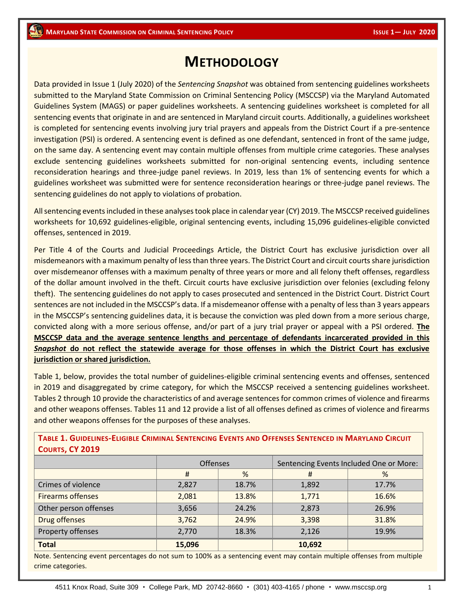# **METHODOLOGY**

Data provided in Issue 1 (July 2020) of the *Sentencing Snapshot* was obtained from sentencing guidelines worksheets submitted to the Maryland State Commission on Criminal Sentencing Policy (MSCCSP) via the Maryland Automated Guidelines System (MAGS) or paper guidelines worksheets. A sentencing guidelines worksheet is completed for all sentencing events that originate in and are sentenced in Maryland circuit courts. Additionally, a guidelines worksheet is completed for sentencing events involving jury trial prayers and appeals from the District Court if a pre-sentence investigation (PSI) is ordered. A sentencing event is defined as one defendant, sentenced in front of the same judge, on the same day. A sentencing event may contain multiple offenses from multiple crime categories. These analyses exclude sentencing guidelines worksheets submitted for non-original sentencing events, including sentence reconsideration hearings and three-judge panel reviews. In 2019, less than 1% of sentencing events for which a guidelines worksheet was submitted were for sentence reconsideration hearings or three-judge panel reviews. The sentencing guidelines do not apply to violations of probation.

All sentencing events included in these analyses took place in calendar year (CY) 2019. The MSCCSP received guidelines worksheets for 10,692 guidelines-eligible, original sentencing events, including 15,096 guidelines-eligible convicted offenses, sentenced in 2019.

Per Title 4 of the Courts and Judicial Proceedings Article, the District Court has exclusive jurisdiction over all misdemeanors with a maximum penalty of less than three years. The District Court and circuit courts share jurisdiction over misdemeanor offenses with a maximum penalty of three years or more and all felony theft offenses, regardless of the dollar amount involved in the theft. Circuit courts have exclusive jurisdiction over felonies (excluding felony theft). The sentencing guidelines do not apply to cases prosecuted and sentenced in the District Court. District Court sentences are not included in the MSCCSP's data. If a misdemeanor offense with a penalty of less than 3 years appears in the MSCCSP's sentencing guidelines data, it is because the conviction was pled down from a more serious charge, convicted along with a more serious offense, and/or part of a jury trial prayer or appeal with a PSI ordered. **The MSCCSP data and the average sentence lengths and percentage of defendants incarcerated provided in this**  *Snapshot* **do not reflect the statewide average for those offenses in which the District Court has exclusive jurisdiction or shared jurisdiction.** 

Table 1, below, provides the total number of guidelines-eligible criminal sentencing events and offenses, sentenced in 2019 and disaggregated by crime category, for which the MSCCSP received a sentencing guidelines worksheet. Tables 2 through 10 provide the characteristics of and average sentences for common crimes of violence and firearms and other weapons offenses. Tables 11 and 12 provide a list of all offenses defined as crimes of violence and firearms and other weapons offenses for the purposes of these analyses.

| COUNTS, CT ZUIS          |                 |       |                                         |       |  |  |
|--------------------------|-----------------|-------|-----------------------------------------|-------|--|--|
|                          | <b>Offenses</b> |       | Sentencing Events Included One or More: |       |  |  |
|                          | #               | %     | #                                       | %     |  |  |
| Crimes of violence       | 2,827           | 18.7% | 1,892                                   | 17.7% |  |  |
| <b>Firearms offenses</b> | 2,081           | 13.8% | 1,771                                   | 16.6% |  |  |
| Other person offenses    | 3,656           | 24.2% | 2,873                                   | 26.9% |  |  |
| Drug offenses            | 3,762           | 24.9% | 3,398                                   | 31.8% |  |  |
| Property offenses        | 2,770           | 18.3% | 2,126                                   | 19.9% |  |  |
| <b>Total</b>             | 15,096          |       | 10,692                                  |       |  |  |

TABLE 1. GUIDELINES-ELIGIBLE CRIMINAL SENTENCING EVENTS AND OFFENSES SENTENCED IN MARYLAND CIRCUIT **COURTS, CY 2019**

Note. Sentencing event percentages do not sum to 100% as a sentencing event may contain multiple offenses from multiple crime categories.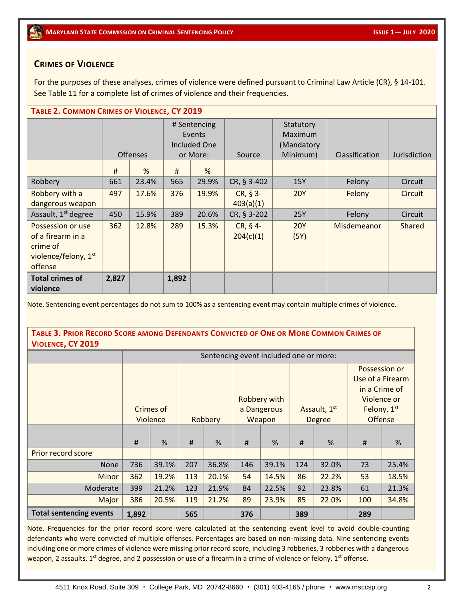## **CRIMES OF VIOLENCE**

For the purposes of these analyses, crimes of violence were defined pursuant to Criminal Law Article (CR), § 14-101. See Table 11 for a complete list of crimes of violence and their frequencies.

| TABLE 2. COMMON CRIMES OF VIOLENCE, CY 2019                                                       |       |                 |                                                    |       |                         |                                                |                |              |
|---------------------------------------------------------------------------------------------------|-------|-----------------|----------------------------------------------------|-------|-------------------------|------------------------------------------------|----------------|--------------|
|                                                                                                   |       | <b>Offenses</b> | # Sentencing<br>Events<br>Included One<br>or More: |       | Source                  | Statutory<br>Maximum<br>(Mandatory<br>Minimum) | Classification | Jurisdiction |
|                                                                                                   | #     | %               | #                                                  | %     |                         |                                                |                |              |
| Robbery                                                                                           | 661   | 23.4%           | 565                                                | 29.9% | CR, § 3-402             | 15Y                                            | Felony         | Circuit      |
| Robbery with a<br>dangerous weapon                                                                | 497   | 17.6%           | 376                                                | 19.9% | $CR, § 3-$<br>403(a)(1) | <b>20Y</b>                                     | Felony         | Circuit      |
| Assault, 1 <sup>st</sup> degree                                                                   | 450   | 15.9%           | 389                                                | 20.6% | CR, § 3-202             | 25Y                                            | Felony         | Circuit      |
| Possession or use<br>of a firearm in a<br>crime of<br>violence/felony, 1 <sup>st</sup><br>offense | 362   | 12.8%           | 289                                                | 15.3% | $CR, § 4-$<br>204(c)(1) | <b>20Y</b><br>(5Y)                             | Misdemeanor    | Shared       |
| <b>Total crimes of</b><br>violence                                                                | 2,827 |                 | 1,892                                              |       |                         |                                                |                |              |

Note. Sentencing event percentages do not sum to 100% as a sentencing event may contain multiple crimes of violence.

TABLE 3. PRIOR RECORD SCORE AMONG DEFENDANTS CONVICTED OF ONE OR MORE COMMON CRIMES OF **VIOLENCE, CY 2019**

|                                |       | Sentencing event included one or more:                     |     |                                                  |     |       |     |                               |                                                                                             |       |
|--------------------------------|-------|------------------------------------------------------------|-----|--------------------------------------------------|-----|-------|-----|-------------------------------|---------------------------------------------------------------------------------------------|-------|
|                                |       | Crimes of<br>Violence                                      |     | Robbery with<br>a Dangerous<br>Robbery<br>Weapon |     |       |     | Assault, 1st<br><b>Degree</b> | Possession or<br>Use of a Firearm<br>in a Crime of<br>Violence or<br>Felony, 1st<br>Offense |       |
|                                | $\#$  | %                                                          | #   | %                                                | #   | %     | #   | %                             | #                                                                                           | %     |
| Prior record score             |       |                                                            |     |                                                  |     |       |     |                               |                                                                                             |       |
| <b>None</b>                    | 736   | 39.1%                                                      | 207 | 36.8%                                            | 146 | 39.1% | 124 | 32.0%                         | 73                                                                                          | 25.4% |
| <b>Minor</b>                   | 362   | 19.2%                                                      | 113 | 20.1%                                            | 54  | 14.5% | 86  | 22.2%                         | 53                                                                                          | 18.5% |
| Moderate                       | 399   | 21.2%                                                      | 123 | 21.9%                                            | 84  | 22.5% | 92  | 23.8%                         | 61                                                                                          | 21.3% |
| Major                          | 386   | 20.5%<br>119<br>21.2%<br>89<br>23.9%<br>85<br>22.0%<br>100 |     |                                                  |     |       |     |                               |                                                                                             | 34.8% |
| <b>Total sentencing events</b> | 1,892 |                                                            | 565 |                                                  | 376 |       | 389 |                               | 289                                                                                         |       |

Note. Frequencies for the prior record score were calculated at the sentencing event level to avoid double-counting defendants who were convicted of multiple offenses. Percentages are based on non-missing data. Nine sentencing events including one or more crimes of violence were missing prior record score, including 3 robberies, 3 robberies with a dangerous weapon, 2 assaults,  $1^{st}$  degree, and 2 possession or use of a firearm in a crime of violence or felony,  $1^{st}$  offense.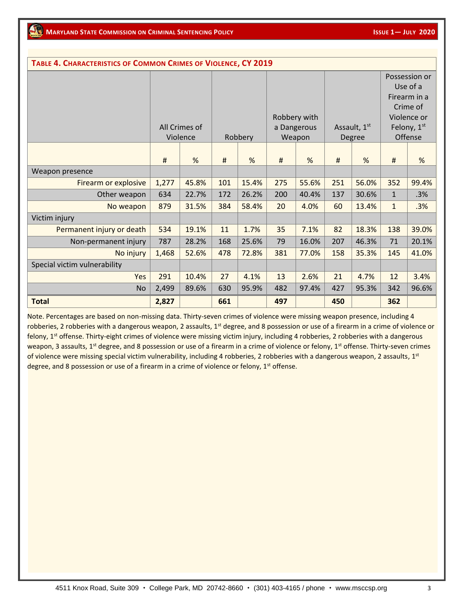| TABLE 4. CHARACTERISTICS OF COMMON CRIMES OF VIOLENCE, CY 2019 |       |               |     |         |     |              |     |              |              |               |
|----------------------------------------------------------------|-------|---------------|-----|---------|-----|--------------|-----|--------------|--------------|---------------|
|                                                                |       |               |     |         |     |              |     |              |              | Possession or |
|                                                                |       |               |     |         |     |              |     |              |              | Use of a      |
|                                                                |       |               |     |         |     |              |     |              |              | Firearm in a  |
|                                                                |       |               |     |         |     |              |     |              |              | Crime of      |
|                                                                |       |               |     |         |     | Robbery with |     |              |              | Violence or   |
|                                                                |       | All Crimes of |     |         |     | a Dangerous  |     | Assault, 1st |              | Felony, 1st   |
|                                                                |       | Violence      |     | Robbery |     | Weapon       |     | Degree       |              | Offense       |
|                                                                |       |               |     |         |     |              |     |              |              |               |
|                                                                | #     | %             | #   | %       | #   | %            | #   | %            | #            | %             |
| Weapon presence                                                |       |               |     |         |     |              |     |              |              |               |
| Firearm or explosive                                           | 1,277 | 45.8%         | 101 | 15.4%   | 275 | 55.6%        | 251 | 56.0%        | 352          | 99.4%         |
| Other weapon                                                   | 634   | 22.7%         | 172 | 26.2%   | 200 | 40.4%        | 137 | 30.6%        | $\mathbf{1}$ | .3%           |
| No weapon                                                      | 879   | 31.5%         | 384 | 58.4%   | 20  | 4.0%         | 60  | 13.4%        | $\mathbf{1}$ | .3%           |
| Victim injury                                                  |       |               |     |         |     |              |     |              |              |               |
| Permanent injury or death                                      | 534   | 19.1%         | 11  | 1.7%    | 35  | 7.1%         | 82  | 18.3%        | 138          | 39.0%         |
| Non-permanent injury                                           | 787   | 28.2%         | 168 | 25.6%   | 79  | 16.0%        | 207 | 46.3%        | 71           | 20.1%         |
| No injury                                                      | 1,468 | 52.6%         | 478 | 72.8%   | 381 | 77.0%        | 158 | 35.3%        | 145          | 41.0%         |
| Special victim vulnerability                                   |       |               |     |         |     |              |     |              |              |               |
| Yes                                                            | 291   | 10.4%         | 27  | 4.1%    | 13  | 2.6%         | 21  | 4.7%         | 12           | 3.4%          |
| <b>No</b>                                                      | 2,499 | 89.6%         | 630 | 95.9%   | 482 | 97.4%        | 427 | 95.3%        | 342          | 96.6%         |
| <b>Total</b>                                                   | 2,827 |               | 661 |         | 497 |              | 450 |              | 362          |               |

Note. Percentages are based on non-missing data. Thirty-seven crimes of violence were missing weapon presence, including 4 robberies, 2 robberies with a dangerous weapon, 2 assaults, 1<sup>st</sup> degree, and 8 possession or use of a firearm in a crime of violence or felony, 1<sup>st</sup> offense. Thirty-eight crimes of violence were missing victim injury, including 4 robberies, 2 robberies with a dangerous weapon, 3 assaults, 1<sup>st</sup> degree, and 8 possession or use of a firearm in a crime of violence or felony, 1<sup>st</sup> offense. Thirty-seven crimes of violence were missing special victim vulnerability, including 4 robberies, 2 robberies with a dangerous weapon, 2 assaults, 1<sup>st</sup> degree, and 8 possession or use of a firearm in a crime of violence or felony,  $1<sup>st</sup>$  offense.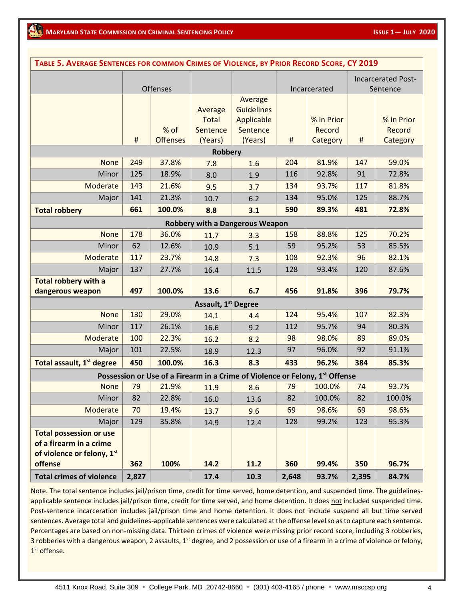| TABLE 5. AVERAGE SENTENCES FOR COMMON CRIMES OF VIOLENCE, BY PRIOR RECORD SCORE, CY 2019 |       |                 |                                 |                                                                                          |       |                      |       |                           |
|------------------------------------------------------------------------------------------|-------|-----------------|---------------------------------|------------------------------------------------------------------------------------------|-------|----------------------|-------|---------------------------|
|                                                                                          |       |                 |                                 |                                                                                          |       |                      |       | <b>Incarcerated Post-</b> |
|                                                                                          |       | <b>Offenses</b> |                                 |                                                                                          |       | Incarcerated         |       | Sentence                  |
|                                                                                          |       |                 |                                 | Average                                                                                  |       |                      |       |                           |
|                                                                                          |       |                 | Average                         | <b>Guidelines</b>                                                                        |       |                      |       |                           |
|                                                                                          |       | % of            | Total<br>Sentence               | Applicable<br>Sentence                                                                   |       | % in Prior<br>Record |       | % in Prior<br>Record      |
|                                                                                          | $\#$  | <b>Offenses</b> | (Years)                         | (Years)                                                                                  | #     | Category             | #     | Category                  |
|                                                                                          |       |                 | <b>Robbery</b>                  |                                                                                          |       |                      |       |                           |
| <b>None</b>                                                                              | 249   | 37.8%           | 7.8                             | 1.6                                                                                      | 204   | 81.9%                | 147   | 59.0%                     |
| Minor                                                                                    | 125   | 18.9%           | 8.0                             | 1.9                                                                                      | 116   | 92.8%                | 91    | 72.8%                     |
| Moderate                                                                                 | 143   | 21.6%           | 9.5                             | 3.7                                                                                      | 134   | 93.7%                | 117   | 81.8%                     |
| Major                                                                                    | 141   | 21.3%           | 10.7                            | 6.2                                                                                      | 134   | 95.0%                | 125   | 88.7%                     |
| <b>Total robbery</b>                                                                     | 661   | 100.0%          | 8.8                             | 3.1                                                                                      | 590   | 89.3%                | 481   | 72.8%                     |
|                                                                                          |       |                 |                                 | <b>Robbery with a Dangerous Weapon</b>                                                   |       |                      |       |                           |
| <b>None</b>                                                                              | 178   | 36.0%           | 11.7                            | 3.3                                                                                      | 158   | 88.8%                | 125   | 70.2%                     |
| Minor                                                                                    | 62    | 12.6%           | 10.9                            | 5.1                                                                                      | 59    | 95.2%                | 53    | 85.5%                     |
| Moderate                                                                                 | 117   | 23.7%           | 14.8                            | 7.3                                                                                      | 108   | 92.3%                | 96    | 82.1%                     |
| Major                                                                                    | 137   | 27.7%           | 16.4                            | 11.5                                                                                     | 128   | 93.4%                | 120   | 87.6%                     |
| <b>Total robbery with a</b>                                                              |       |                 |                                 |                                                                                          |       |                      |       |                           |
| dangerous weapon                                                                         | 497   | 100.0%          | 13.6                            | 6.7                                                                                      | 456   | 91.8%                | 396   | 79.7%                     |
|                                                                                          |       |                 | Assault, 1 <sup>st</sup> Degree |                                                                                          |       |                      |       |                           |
| <b>None</b>                                                                              | 130   | 29.0%           | 14.1                            | 4.4                                                                                      | 124   | 95.4%                | 107   | 82.3%                     |
| Minor                                                                                    | 117   | 26.1%           | 16.6                            | 9.2                                                                                      | 112   | 95.7%                | 94    | 80.3%                     |
| Moderate                                                                                 | 100   | 22.3%           | 16.2                            | 8.2                                                                                      | 98    | 98.0%                | 89    | 89.0%                     |
| Major                                                                                    | 101   | 22.5%           | 18.9                            | 12.3                                                                                     | 97    | 96.0%                | 92    | 91.1%                     |
| Total assault, 1 <sup>st</sup> degree                                                    | 450   | 100.0%          | 16.3                            | 8.3                                                                                      | 433   | 96.2%                | 384   | 85.3%                     |
|                                                                                          |       |                 |                                 | Possession or Use of a Firearm in a Crime of Violence or Felony, 1 <sup>st</sup> Offense |       |                      |       |                           |
| <b>None</b>                                                                              | 79    | 21.9%           | 11.9                            | 8.6                                                                                      | 79    | 100.0%               | 74    | 93.7%                     |
| Minor                                                                                    | 82    | 22.8%           | 16.0                            | 13.6                                                                                     | 82    | 100.0%               | 82    | 100.0%                    |
| Moderate                                                                                 | 70    | 19.4%           | 13.7                            | 9.6                                                                                      | 69    | 98.6%                | 69    | 98.6%                     |
| Major                                                                                    | 129   | 35.8%           | 14.9                            | 12.4                                                                                     | 128   | 99.2%                | 123   | 95.3%                     |
| <b>Total possession or use</b>                                                           |       |                 |                                 |                                                                                          |       |                      |       |                           |
| of a firearm in a crime                                                                  |       |                 |                                 |                                                                                          |       |                      |       |                           |
| of violence or felony, 1st<br>offense                                                    | 362   | 100%            | 14.2                            | 11.2                                                                                     | 360   | 99.4%                | 350   | 96.7%                     |
|                                                                                          |       |                 |                                 |                                                                                          |       | 93.7%                |       |                           |
| <b>Total crimes of violence</b>                                                          | 2,827 |                 | 17.4                            | 10.3                                                                                     | 2,648 |                      | 2,395 | 84.7%                     |

Note. The total sentence includes jail/prison time, credit for time served, home detention, and suspended time. The guidelinesapplicable sentence includes jail/prison time, credit for time served, and home detention. It does not included suspended time. Post-sentence incarceration includes jail/prison time and home detention. It does not include suspend all but time served sentences. Average total and guidelines-applicable sentences were calculated at the offense level so as to capture each sentence. Percentages are based on non-missing data. Thirteen crimes of violence were missing prior record score, including 3 robberies, 3 robberies with a dangerous weapon, 2 assaults, 1<sup>st</sup> degree, and 2 possession or use of a firearm in a crime of violence or felony, 1 st offense.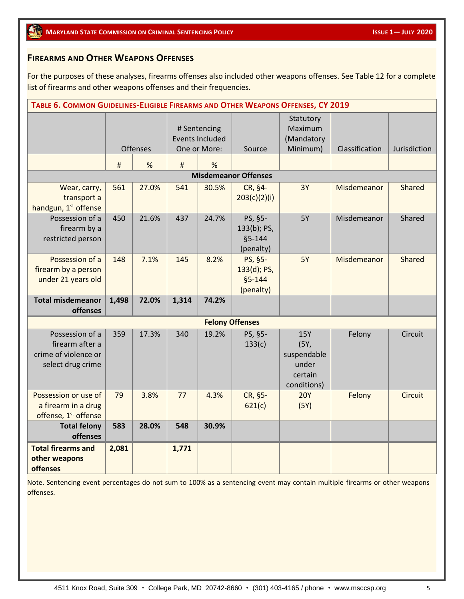# **FIREARMS AND OTHER WEAPONS OFFENSES**

For the purposes of these analyses, firearms offenses also included other weapons offenses. See Table 12 for a complete list of firearms and other weapons offenses and their frequencies.

| TABLE 6. COMMON GUIDELINES-ELIGIBLE FIREARMS AND OTHER WEAPONS OFFENSES, CY 2019 |       |          |                                                        |       |                                                   |                                                        |                |                |
|----------------------------------------------------------------------------------|-------|----------|--------------------------------------------------------|-------|---------------------------------------------------|--------------------------------------------------------|----------------|----------------|
|                                                                                  |       | Offenses | # Sentencing<br><b>Events Included</b><br>One or More: |       | Source                                            | Statutory<br>Maximum<br>(Mandatory<br>Minimum)         | Classification | Jurisdiction   |
|                                                                                  | #     | %        | #                                                      | %     |                                                   |                                                        |                |                |
|                                                                                  |       |          |                                                        |       | <b>Misdemeanor Offenses</b>                       |                                                        |                |                |
| Wear, carry,<br>transport a<br>handgun, 1 <sup>st</sup> offense                  | 561   | 27.0%    | 541                                                    | 30.5% | CR, §4-<br>203(c)(2)(i)                           | 3Y                                                     | Misdemeanor    | <b>Shared</b>  |
| Possession of a<br>firearm by a<br>restricted person                             | 450   | 21.6%    | 437                                                    | 24.7% | PS, §5-<br>133(b); PS,<br>$§5 - 144$<br>(penalty) | <b>5Y</b>                                              | Misdemeanor    | Shared         |
| Possession of a<br>firearm by a person<br>under 21 years old                     | 148   | 7.1%     | 145                                                    | 8.2%  | PS, §5-<br>133(d); PS,<br>$§5 - 144$<br>(penalty) | <b>5Y</b>                                              | Misdemeanor    | <b>Shared</b>  |
| <b>Total misdemeanor</b><br>offenses                                             | 1,498 | 72.0%    | 1,314                                                  | 74.2% |                                                   |                                                        |                |                |
|                                                                                  |       |          |                                                        |       | <b>Felony Offenses</b>                            |                                                        |                |                |
| Possession of a                                                                  | 359   | 17.3%    | 340                                                    | 19.2% | PS, §5-                                           | <b>15Y</b>                                             | Felony         | Circuit        |
| firearm after a<br>crime of violence or<br>select drug crime                     |       |          |                                                        |       | 133(c)                                            | (5Y,<br>suspendable<br>under<br>certain<br>conditions) |                |                |
| Possession or use of<br>a firearm in a drug<br>offense, 1 <sup>st</sup> offense  | 79    | 3.8%     | 77                                                     | 4.3%  | CR, §5-<br>621(c)                                 | <b>20Y</b><br>(5Y)                                     | Felony         | <b>Circuit</b> |
| <b>Total felony</b><br>offenses                                                  | 583   | 28.0%    | 548                                                    | 30.9% |                                                   |                                                        |                |                |
| <b>Total firearms and</b><br>other weapons<br><b>offenses</b>                    | 2,081 |          | 1,771                                                  |       |                                                   |                                                        |                |                |

Note. Sentencing event percentages do not sum to 100% as a sentencing event may contain multiple firearms or other weapons offenses.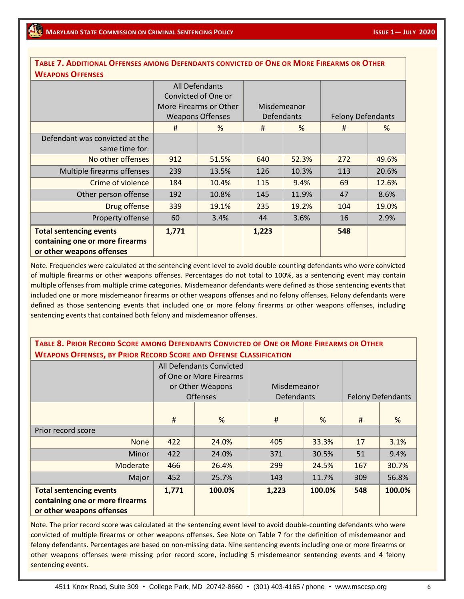#### **TABLE 7. ADDITIONAL OFFENSES AMONG DEFENDANTS CONVICTED OF ONE OR MORE FIREARMS OR OTHER WEAPONS OFFENSES**

| <u>WEAPUNS UFFENSES</u>                                      |       |                         |                   |       |                          |       |
|--------------------------------------------------------------|-------|-------------------------|-------------------|-------|--------------------------|-------|
|                                                              |       | All Defendants          |                   |       |                          |       |
|                                                              |       | Convicted of One or     |                   |       |                          |       |
|                                                              |       | More Firearms or Other  | Misdemeanor       |       |                          |       |
|                                                              |       | <b>Weapons Offenses</b> | <b>Defendants</b> |       | <b>Felony Defendants</b> |       |
|                                                              | #     | %                       | #                 | %     | #                        | %     |
| Defendant was convicted at the                               |       |                         |                   |       |                          |       |
| same time for:                                               |       |                         |                   |       |                          |       |
| No other offenses                                            | 912   | 51.5%                   | 640               | 52.3% | 272                      | 49.6% |
| Multiple firearms offenses                                   | 239   | 13.5%                   | 126               | 10.3% | 113                      | 20.6% |
| Crime of violence                                            | 184   | 10.4%                   | 115               | 9.4%  | 69                       | 12.6% |
| Other person offense                                         | 192   | 10.8%                   | 145               | 11.9% | 47                       | 8.6%  |
| Drug offense                                                 | 339   | 19.1%                   | 235               | 19.2% | 104                      | 19.0% |
| Property offense                                             | 60    | 3.4%                    | 44                | 3.6%  | 16                       | 2.9%  |
| <b>Total sentencing events</b>                               | 1,771 |                         | 1,223             |       | 548                      |       |
| containing one or more firearms<br>or other weapons offenses |       |                         |                   |       |                          |       |

Note. Frequencies were calculated at the sentencing event level to avoid double-counting defendants who were convicted of multiple firearms or other weapons offenses. Percentages do not total to 100%, as a sentencing event may contain multiple offenses from multiple crime categories. Misdemeanor defendants were defined as those sentencing events that included one or more misdemeanor firearms or other weapons offenses and no felony offenses. Felony defendants were defined as those sentencing events that included one or more felony firearms or other weapons offenses, including sentencing events that contained both felony and misdemeanor offenses.

### TABLE 8. PRIOR RECORD SCORE AMONG DEFENDANTS CONVICTED OF ONE OR MORE FIREARMS OR OTHER **WEAPONS OFFENSES, BY PRIOR RECORD SCORE AND OFFENSE CLASSIFICATION**

|                                                                                                |       | All Defendants Convicted |             |        |     |                          |
|------------------------------------------------------------------------------------------------|-------|--------------------------|-------------|--------|-----|--------------------------|
|                                                                                                |       | of One or More Firearms  |             |        |     |                          |
|                                                                                                |       | or Other Weapons         | Misdemeanor |        |     |                          |
|                                                                                                |       | <b>Offenses</b>          | Defendants  |        |     | <b>Felony Defendants</b> |
|                                                                                                |       |                          |             |        |     |                          |
|                                                                                                | #     | %                        | #           | %      | #   | %                        |
| Prior record score                                                                             |       |                          |             |        |     |                          |
| <b>None</b>                                                                                    | 422   | 24.0%                    | 405         | 33.3%  | 17  | 3.1%                     |
| Minor                                                                                          | 422   | 24.0%                    | 371         | 30.5%  | 51  | 9.4%                     |
| Moderate                                                                                       | 466   | 26.4%                    | 299         | 24.5%  | 167 | 30.7%                    |
| Major                                                                                          | 452   | 25.7%                    | 143         | 11.7%  | 309 | 56.8%                    |
| <b>Total sentencing events</b><br>containing one or more firearms<br>or other weapons offenses | 1,771 | 100.0%                   | 1,223       | 100.0% | 548 | 100.0%                   |

Note. The prior record score was calculated at the sentencing event level to avoid double-counting defendants who were convicted of multiple firearms or other weapons offenses. See Note on Table 7 for the definition of misdemeanor and felony defendants. Percentages are based on non-missing data. Nine sentencing events including one or more firearms or other weapons offenses were missing prior record score, including 5 misdemeanor sentencing events and 4 felony sentencing events.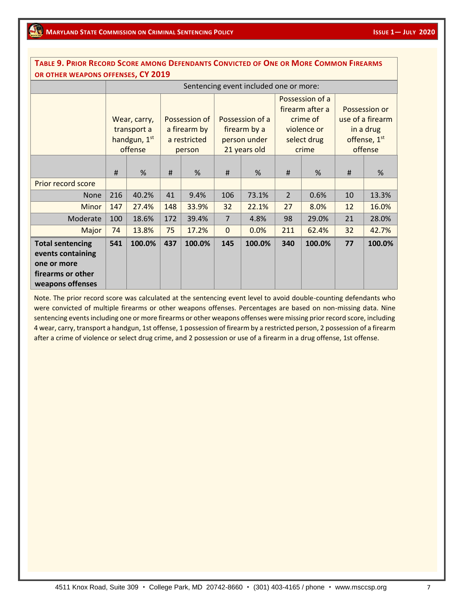| OR OTHER WEAPONS OFFENSES, CY 2019                                                                   |     |                                                        |                                                         |        |                                                                 |                                        |                                                                                       |               |                                                                           |        |
|------------------------------------------------------------------------------------------------------|-----|--------------------------------------------------------|---------------------------------------------------------|--------|-----------------------------------------------------------------|----------------------------------------|---------------------------------------------------------------------------------------|---------------|---------------------------------------------------------------------------|--------|
|                                                                                                      |     |                                                        |                                                         |        |                                                                 | Sentencing event included one or more: |                                                                                       |               |                                                                           |        |
|                                                                                                      |     | Wear, carry,<br>transport a<br>handgun, 1st<br>offense | Possession of<br>a firearm by<br>a restricted<br>person |        | Possession of a<br>firearm by a<br>person under<br>21 years old |                                        | Possession of a<br>firearm after a<br>crime of<br>violence or<br>select drug<br>crime |               | Possession or<br>use of a firearm<br>in a drug<br>offense, 1st<br>offense |        |
|                                                                                                      | #   | $\%$                                                   | #                                                       | %      | #                                                               | %                                      | #                                                                                     | $\frac{9}{6}$ | #                                                                         | %      |
| Prior record score                                                                                   |     |                                                        |                                                         |        |                                                                 |                                        |                                                                                       |               |                                                                           |        |
| <b>None</b>                                                                                          | 216 | 40.2%                                                  | 41                                                      | 9.4%   | 106                                                             | 73.1%                                  | $\overline{2}$                                                                        | 0.6%          | 10                                                                        | 13.3%  |
| Minor                                                                                                | 147 | 27.4%                                                  | 148                                                     | 33.9%  | 32                                                              | 22.1%                                  | 27                                                                                    | 8.0%          | 12                                                                        | 16.0%  |
| Moderate                                                                                             | 100 | 18.6%                                                  | 172                                                     | 39.4%  | $\overline{7}$                                                  | 4.8%                                   | 98                                                                                    | 29.0%         | 21                                                                        | 28.0%  |
| Major                                                                                                | 74  | 13.8%                                                  | 75                                                      | 17.2%  | $\Omega$                                                        | 0.0%                                   | 211                                                                                   | 62.4%         | 32                                                                        | 42.7%  |
| <b>Total sentencing</b><br>events containing<br>one or more<br>firearms or other<br>weapons offenses | 541 | 100.0%                                                 | 437                                                     | 100.0% | 145                                                             | 100.0%                                 | 340                                                                                   | 100.0%        | 77                                                                        | 100.0% |

TABLE 9. PRIOR RECORD SCORE AMONG DEFENDANTS CONVICTED OF ONE OR MORE COMMON FIREARMS

were convicted of multiple firearms or other weapons offenses. Percentages are based on non-missing data. Nine Note. The prior record score was calculated at the sentencing event level to avoid double-counting defendants who sentencing events including one or more firearms or other weapons offenses were missing prior record score, including 4 wear, carry, transport a handgun, 1st offense, 1 possession of firearm by a restricted person, 2 possession of a firearm after a crime of violence or select drug crime, and 2 possession or use of a firearm in a drug offense, 1st offense.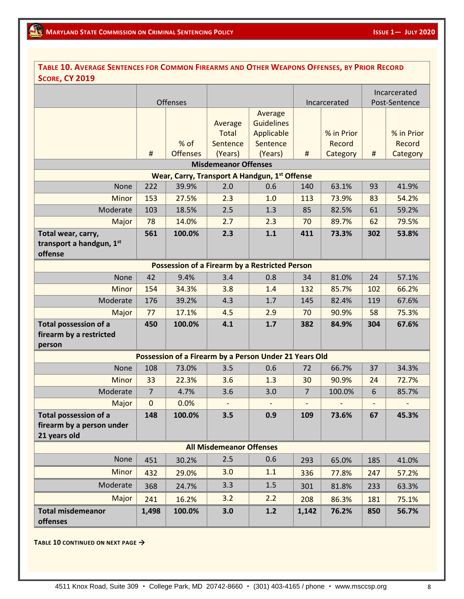| TABLE 10. AVERAGE SENTENCES FOR COMMON FIREARMS AND OTHER WEAPONS OFFENSES, BY PRIOR RECORD<br><b>SCORE, CY 2019</b> |                |                         |                                                |                                                                   |                          |                                  |     |                                  |
|----------------------------------------------------------------------------------------------------------------------|----------------|-------------------------|------------------------------------------------|-------------------------------------------------------------------|--------------------------|----------------------------------|-----|----------------------------------|
|                                                                                                                      |                |                         |                                                |                                                                   |                          |                                  |     | Incarcerated                     |
|                                                                                                                      |                | Offenses                |                                                |                                                                   |                          | Incarcerated                     |     | Post-Sentence                    |
|                                                                                                                      | $\sharp$       | % of<br><b>Offenses</b> | Average<br><b>Total</b><br>Sentence<br>(Years) | Average<br><b>Guidelines</b><br>Applicable<br>Sentence<br>(Years) | $\sharp$                 | % in Prior<br>Record<br>Category | #   | % in Prior<br>Record<br>Category |
|                                                                                                                      |                |                         | <b>Misdemeanor Offenses</b>                    |                                                                   |                          |                                  |     |                                  |
|                                                                                                                      |                |                         |                                                | Wear, Carry, Transport A Handgun, 1st Offense                     |                          |                                  |     |                                  |
| None                                                                                                                 | 222            | 39.9%                   | 2.0                                            | 0.6                                                               | 140                      | 63.1%                            | 93  | 41.9%                            |
| Minor                                                                                                                | 153            | 27.5%                   | 2.3                                            | 1.0                                                               | 113                      | 73.9%                            | 83  | 54.2%                            |
| Moderate                                                                                                             | 103            | 18.5%                   | 2.5                                            | 1.3                                                               | 85                       | 82.5%                            | 61  | 59.2%                            |
| Major                                                                                                                | 78             | 14.0%                   | 2.7                                            | 2.3                                                               | 70                       | 89.7%                            | 62  | 79.5%                            |
| Total wear, carry,<br>transport a handgun, 1st<br>offense                                                            | 561            | 100.0%                  | 2.3                                            | 1.1                                                               | 411                      | 73.3%                            | 302 | 53.8%                            |
|                                                                                                                      |                |                         |                                                | <b>Possession of a Firearm by a Restricted Person</b>             |                          |                                  |     |                                  |
| None                                                                                                                 | 42             | 9.4%                    | 3.4                                            | 0.8                                                               | 34                       | 81.0%                            | 24  | 57.1%                            |
| Minor                                                                                                                | 154            | 34.3%                   | 3.8                                            | 1.4                                                               | 132                      | 85.7%                            | 102 | 66.2%                            |
| Moderate                                                                                                             | 176            | 39.2%                   | 4.3                                            | 1.7                                                               | 145                      | 82.4%                            | 119 | 67.6%                            |
| Major                                                                                                                | 77             | 17.1%                   | 4.5                                            | 2.9                                                               | 70                       | 90.9%                            | 58  | 75.3%                            |
| <b>Total possession of a</b><br>firearm by a restricted<br>person                                                    | 450            | 100.0%                  | 4.1                                            | 1.7                                                               | 382                      | 84.9%                            | 304 | 67.6%                            |
|                                                                                                                      |                |                         |                                                | Possession of a Firearm by a Person Under 21 Years Old            |                          |                                  |     |                                  |
| None                                                                                                                 | 108            | 73.0%                   | 3.5                                            | 0.6                                                               | 72                       | 66.7%                            | 37  | 34.3%                            |
| Minor                                                                                                                | 33             | 22.3%                   | 3.6                                            | 1.3                                                               | 30                       | 90.9%                            | 24  | 72.7%                            |
| Moderate                                                                                                             | $\overline{7}$ | 4.7%                    | 3.6                                            | 3.0                                                               | $\overline{7}$           | 100.0%                           | 6   | 85.7%                            |
| Major                                                                                                                | $\mathbf 0$    | 0.0%                    | $\overline{\phantom{0}}$                       | $\overline{\phantom{a}}$                                          | $\overline{\phantom{a}}$ | $\overline{a}$                   |     | $\overline{\phantom{0}}$         |
| <b>Total possession of a</b><br>firearm by a person under<br>21 years old                                            | 148            | 100.0%                  | 3.5                                            | 0.9                                                               | 109                      | 73.6%                            | 67  | 45.3%                            |
|                                                                                                                      |                |                         | <b>All Misdemeanor Offenses</b>                |                                                                   |                          |                                  |     |                                  |
| None                                                                                                                 | 451            | 30.2%                   | 2.5                                            | 0.6                                                               | 293                      | 65.0%                            | 185 | 41.0%                            |
| Minor                                                                                                                | 432            | 29.0%                   | 3.0                                            | 1.1                                                               | 336                      | 77.8%                            | 247 | 57.2%                            |
| Moderate                                                                                                             | 368            | 24.7%                   | 3.3                                            | 1.5                                                               | 301                      | 81.8%                            | 233 | 63.3%                            |
| Major                                                                                                                | 241            | 16.2%                   | 3.2                                            | 2.2                                                               | 208                      | 86.3%                            | 181 | 75.1%                            |
| <b>Total misdemeanor</b><br>offenses                                                                                 | 1,498          | 100.0%                  | 3.0                                            | 1.2                                                               | 1,142                    | 76.2%                            | 850 | 56.7%                            |

**TABLE 10 CONTINUED ON NEXT PAGE →**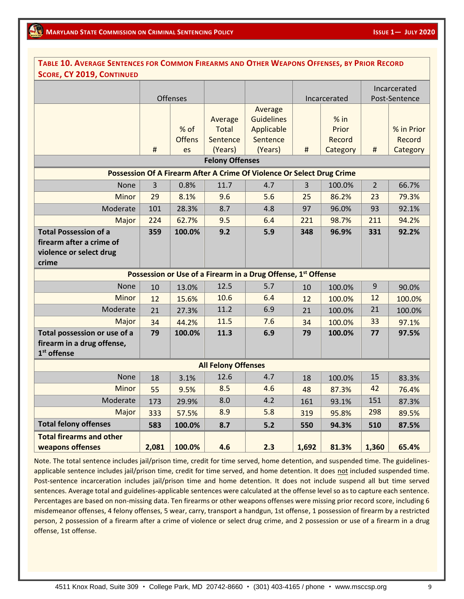| TABLE 10. AVERAGE SENTENCES FOR COMMON FIREARMS AND OTHER WEAPONS OFFENSES, BY PRIOR RECORD  |                |                       |                              |                                                               |                |                           |                |                      |
|----------------------------------------------------------------------------------------------|----------------|-----------------------|------------------------------|---------------------------------------------------------------|----------------|---------------------------|----------------|----------------------|
| <b>SCORE, CY 2019, CONTINUED</b>                                                             |                |                       |                              |                                                               |                |                           |                |                      |
|                                                                                              |                |                       |                              |                                                               |                |                           |                | Incarcerated         |
|                                                                                              |                | Offenses              |                              |                                                               |                | Incarcerated              | Post-Sentence  |                      |
|                                                                                              |                | % of<br><b>Offens</b> | Average<br>Total<br>Sentence | Average<br><b>Guidelines</b><br>Applicable<br>Sentence        |                | $%$ in<br>Prior<br>Record |                | % in Prior<br>Record |
|                                                                                              | #              | es                    | (Years)                      | (Years)                                                       | #              | Category                  | #              | Category             |
|                                                                                              |                |                       | <b>Felony Offenses</b>       |                                                               |                |                           |                |                      |
| Possession Of A Firearm After A Crime Of Violence Or Select Drug Crime                       |                |                       |                              |                                                               |                |                           |                |                      |
| None                                                                                         | $\overline{3}$ | 0.8%                  | 11.7                         | 4.7                                                           | $\overline{3}$ | 100.0%                    | $\overline{2}$ | 66.7%                |
| <b>Minor</b>                                                                                 | 29             | 8.1%                  | 9.6                          | 5.6                                                           | 25             | 86.2%                     | 23             | 79.3%                |
| Moderate                                                                                     | 101            | 28.3%                 | 8.7                          | 4.8                                                           | 97             | 96.0%                     | 93             | 92.1%                |
| Major                                                                                        | 224            | 62.7%                 | 9.5                          | 6.4                                                           | 221            | 98.7%                     | 211            | 94.2%                |
| <b>Total Possession of a</b><br>firearm after a crime of<br>violence or select drug<br>crime | 359            | 100.0%                | 9.2                          | 5.9                                                           | 348            | 96.9%                     | 331            | 92.2%                |
|                                                                                              |                |                       |                              | Possession or Use of a Firearm in a Drug Offense, 1st Offense |                |                           |                |                      |
| None                                                                                         | 10             | 13.0%                 | 12.5                         | 5.7                                                           | 10             | 100.0%                    | 9              | 90.0%                |
| Minor                                                                                        | 12             | 15.6%                 | 10.6                         | 6.4                                                           | 12             | 100.0%                    | 12             | 100.0%               |
| Moderate                                                                                     | 21             | 27.3%                 | 11.2                         | 6.9                                                           | 21             | 100.0%                    | 21             | 100.0%               |
| Major                                                                                        | 34             | 44.2%                 | 11.5                         | 7.6                                                           | 34             | 100.0%                    | 33             | 97.1%                |
| Total possession or use of a<br>firearm in a drug offense,<br>1 <sup>st</sup> offense        | 79             | 100.0%                | 11.3                         | 6.9                                                           | 79             | 100.0%                    | 77             | 97.5%                |
|                                                                                              |                |                       | <b>All Felony Offenses</b>   |                                                               |                |                           |                |                      |
| None                                                                                         | 18             | 3.1%                  | 12.6                         | 4.7                                                           | 18             | 100.0%                    | 15             | 83.3%                |
| <b>Minor</b>                                                                                 | 55             | 9.5%                  | 8.5                          | 4.6                                                           | 48             | 87.3%                     | 42             | 76.4%                |
| Moderate                                                                                     | 173            | 29.9%                 | 8.0                          | 4.2                                                           | 161            | 93.1%                     | 151            | 87.3%                |
| Major                                                                                        | 333            | 57.5%                 | 8.9                          | 5.8                                                           | 319            | 95.8%                     | 298            | 89.5%                |
| <b>Total felony offenses</b>                                                                 | 583            | 100.0%                | 8.7                          | $5.2$                                                         | 550            | 94.3%                     | 510            | 87.5%                |
| <b>Total firearms and other</b><br>weapons offenses                                          | 2,081          | 100.0%                | 4.6                          | 2.3                                                           | 1,692          | 81.3%                     | 1,360          | 65.4%                |

Note. The total sentence includes jail/prison time, credit for time served, home detention, and suspended time. The guidelinesapplicable sentence includes jail/prison time, credit for time served, and home detention. It does not included suspended time. Post-sentence incarceration includes jail/prison time and home detention. It does not include suspend all but time served sentences. Average total and guidelines-applicable sentences were calculated at the offense level so as to capture each sentence. Percentages are based on non-missing data. Ten firearms or other weapons offenses were missing prior record score, including 6 misdemeanor offenses, 4 felony offenses, 5 wear, carry, transport a handgun, 1st offense, 1 possession of firearm by a restricted person, 2 possession of a firearm after a crime of violence or select drug crime, and 2 possession or use of a firearm in a drug offense, 1st offense.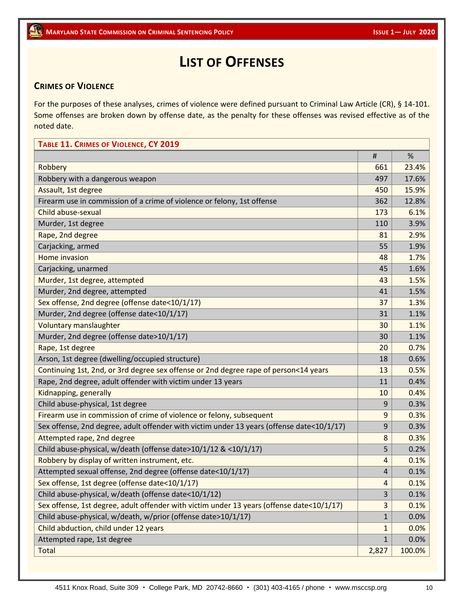# **LIST OF OFFENSES**

### **CRIMES OF VIOLENCE**

For the purposes of these analyses, crimes of violence were defined pursuant to Criminal Law Article (CR), § 14-101. Some offenses are broken down by offense date, as the penalty for these offenses was revised effective as of the noted date.

# **TABLE 11. CRIMES OF VIOLENCE, CY 2019** # % Robbery 661 23.4% Robbery with a dangerous weapon 1999 and 1999 and 1999 and 1999 and 1999 and 1999 and 1999 and 17.6% Assault, 1st degree 15.9% and 15.9% and 15.9% and 15.9% and 15.9% and 15.9% and 15.9% and 15.9% and 15.9% and 1 Firearm use in commission of a crime of violence or felony, 1st offense  $\sim$  362 12.8% Child abuse-sexual  $\sim$  173  $\sim$  5.1% Murder, 1st degree  $\vert$  110  $\vert$  3.9% Rape, 2nd degree 81 2.9% and 2.9% and 2.9% and 2.9% and 2.9% and 2.9% and 2.9% and 2.9% and 2.9% and 2.9% and 2.9% and 2.9% and 2.9% and 2.9% and 2.9% and 2.9% and 2.9% and 2.9% and 2.9% and 2.9% and 2.9% and 2.9% and 2.9% Carjacking, armed  $\vert$  55  $\vert$  1.9% Home invasion and the second second second second second second second second second second second second second second second second second second second second second second second second second second second second seco Carjacking, unarmed 45 1.6% Murder, 1st degree, attempted  $\vert$  43 |  $\vert$  1.5% Murder, 2nd degree, attempted  $\vert$  41 |  $\vert$  1.5% Sex offense, 2nd degree (offense date<10/1/17) 37 38% Murder, 2nd degree (offense date<10/1/17)  $31 \mid 1.1\%$ Voluntary manslaughter 1999 and 1999 and 20 1.1% and 30 1.1% and 30 1.1% and 30 1.1% and 30 1.1% and 30 1.1% and 30 1.1% and 30 1.1% and 30 1.1% and 30 1.1% and 30 1.1% and 30 1.1% and 30 1.1% and 30 1.1% and 30 1.1% and 3 Murder, 2nd degree (offense date>10/1/17)  $\vert$  30 | 1.1% Rape, 1st degree 20 0.7% and 20 0.7% and 20 0.7% and 20 0.7% and 20 0.7% and 20 0.7% and 20 0.7% and 20 0.7% and 20 0.7% and 20 0.7% and 20 0.7% and 20 0.7% and 20 0.7% and 20 0.7% and 20 0.7% and 20 0.7% and 20 0.7% and 2 Arson, 1st degree (dwelling/occupied structure) 18 0.6% Continuing 1st, 2nd, or 3rd degree sex offense or 2nd degree rape of person<14 years  $\vert$  13  $\vert$  0.5% Rape, 2nd degree, adult offender with victim under 13 years  $\vert$  11  $\vert$  11  $\vert$  11  $\vert$  0.4% Kidnapping, generally and the control of the control of the control of the control of the control of the control of the control of the control of the control of the control of the control of the control of the control of t Child abuse-physical, 1st degree 9 0.3% Firearm use in commission of crime of violence or felony, subsequent  $\vert$  9 0.3% Sex offense, 2nd degree, adult offender with victim under 13 years (offense date  $\langle 10/1/17 \rangle$  | 9 | 0.3% Attempted rape, 2nd degree 8 0.3% and 2011 0.3% and 3 0.3% and 3 0.3% and 3 0.3% and 3 0.3% and 3 0.3% and 3 0.3% Child abuse-physical, w/death (offense date>10/1/12 & <10/1/17)  $\qquad \qquad \qquad$  5  $\qquad \qquad$  0.2% Robbery by display of written instrument, etc. And the control of the control of the control of the control of the control of the control of the control of the control of the control of the control of the control of the co Attempted sexual offense, 2nd degree (offense date<10/1/17)  $\vert$  4  $\vert$  0.1% Sex offense, 1st degree (offense date<10/1/17) 4 0.1% Child abuse-physical, w/death (offense date<10/1/12)  $\vert$  3 0.1% Sex offense, 1st degree, adult offender with victim under 13 years (offense date<10/1/17)  $\vert$  3  $\vert$  0.1% Child abuse-physical, w/death, w/prior (offense date>10/1/17)  $\vert$  1 0.0% Child abduction, child under 12 years 1 0.0% and 1 0.0% and 1 0.0% and 1 0.0% Attempted rape, 1st degree 1 0.0% and 1 0.0% and 1 0.0% and 1 0.0% and 1 0.0% and 1 0.0% and 1 0.0% and 1 0.0% Total 2,827 100.0%